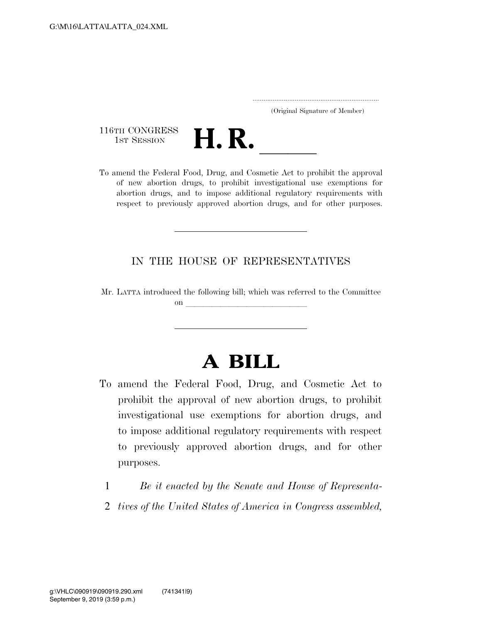..................................................................... (Original Signature of Member)

116TH CONGRESS<br>1st Session



116TH CONGRESS<br>
1st SESSION<br>
To amend the Federal Food, Drug, and Cosmetic Act to prohibit the approval of new abortion drugs, to prohibit investigational use exemptions for abortion drugs, and to impose additional regulatory requirements with respect to previously approved abortion drugs, and for other purposes.

## IN THE HOUSE OF REPRESENTATIVES

Mr. LATTA introduced the following bill; which was referred to the Committee  $\Omega$  and  $\Omega$  and  $\Omega$  and  $\Omega$  and  $\Omega$  and  $\Omega$  and  $\Omega$  and  $\Omega$  and  $\Omega$  and  $\Omega$  and  $\Omega$  and  $\Omega$  and  $\Omega$  and  $\Omega$  and  $\Omega$  and  $\Omega$  and  $\Omega$  and  $\Omega$  and  $\Omega$  and  $\Omega$  and  $\Omega$  and  $\Omega$  and  $\Omega$  and  $\Omega$  and  $\Omega$ 

## **A BILL**

- To amend the Federal Food, Drug, and Cosmetic Act to prohibit the approval of new abortion drugs, to prohibit investigational use exemptions for abortion drugs, and to impose additional regulatory requirements with respect to previously approved abortion drugs, and for other purposes.
	- 1 *Be it enacted by the Senate and House of Representa-*
	- 2 *tives of the United States of America in Congress assembled,*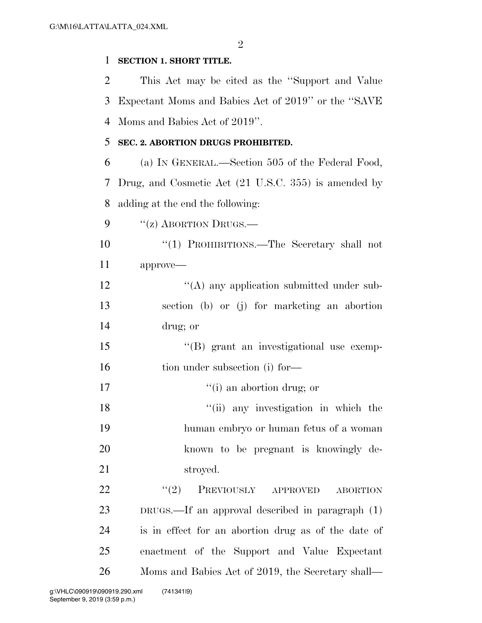$\mathfrak{D}$ 

## **SECTION 1. SHORT TITLE.**

 This Act may be cited as the ''Support and Value Expectant Moms and Babies Act of 2019'' or the ''SAVE Moms and Babies Act of 2019''.

## **SEC. 2. ABORTION DRUGS PROHIBITED.**

 (a) IN GENERAL.—Section 505 of the Federal Food, Drug, and Cosmetic Act (21 U.S.C. 355) is amended by adding at the end the following:

9 "(z) ABORTION DRUGS.—

 ''(1) PROHIBITIONS.—The Secretary shall not approve—

12 ''(A) any application submitted under sub- section (b) or (j) for marketing an abortion drug; or

 ''(B) grant an investigational use exemp-16 tion under subsection (i) for—

17  $\qquad \qquad \text{(i) an abortion drug; or}$ 

18 ''(ii) any investigation in which the human embryo or human fetus of a woman known to be pregnant is knowingly de-stroyed.

22 "<sup>'</sup>(2) PREVIOUSLY APPROVED ABORTION DRUGS.—If an approval described in paragraph (1) is in effect for an abortion drug as of the date of enactment of the Support and Value Expectant Moms and Babies Act of 2019, the Secretary shall—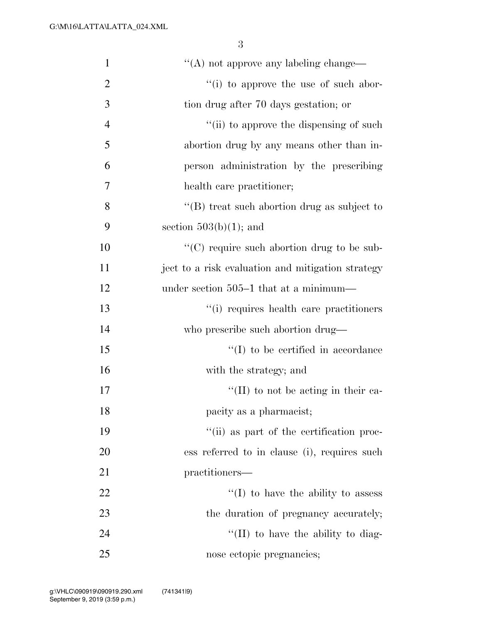| $\mathbf{1}$   | $\lq\lq$ not approve any labeling change—         |
|----------------|---------------------------------------------------|
| $\overline{2}$ | "(i) to approve the use of such abor-             |
| 3              | tion drug after 70 days gestation; or             |
| $\overline{4}$ | "(ii) to approve the dispensing of such           |
| 5              | abortion drug by any means other than in-         |
| 6              | person administration by the prescribing          |
| 7              | health care practitioner;                         |
| 8              | $\lq\lq$ treat such abortion drug as subject to   |
| 9              | section $503(b)(1)$ ; and                         |
| 10             | "(C) require such abortion drug to be sub-        |
| 11             | ject to a risk evaluation and mitigation strategy |
| 12             | under section 505–1 that at a minimum—            |
| 13             | "(i) requires health care practitioners           |
| 14             | who prescribe such abortion drug—                 |
| 15             | $\lq\lq$ to be certified in accordance            |
| 16             | with the strategy; and                            |
| 17             | $\lq\lq$ (II) to not be acting in their ca-       |
| 18             | pacity as a pharmacist;                           |
| 19             | "(ii) as part of the certification proc-          |
| 20             | ess referred to in clause (i), requires such      |
| 21             | practitioners—                                    |
| 22             | $\lq\lq$ to have the ability to assess            |
| 23             | the duration of pregnancy accurately;             |
| 24             | $\lq$ (II) to have the ability to diag-           |
| 25             | nose ectopic pregnancies;                         |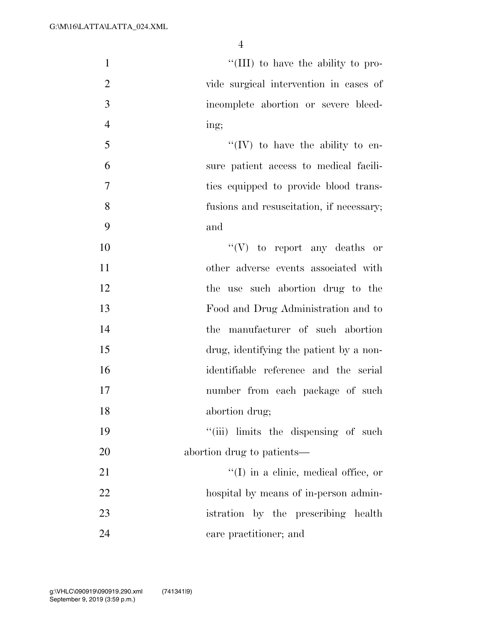| $\mathbf{1}$   | "(III) to have the ability to pro-           |
|----------------|----------------------------------------------|
| $\overline{2}$ | vide surgical intervention in cases of       |
| 3              | incomplete abortion or severe bleed-         |
| $\overline{4}$ | ing;                                         |
| 5              | $\lq\lq (IV)$ to have the ability to en-     |
| 6              | sure patient access to medical facili-       |
| $\tau$         | ties equipped to provide blood trans-        |
| 8              | fusions and resuscitation, if necessary;     |
| 9              | and                                          |
| 10             | $``(V)$ to report any deaths or              |
| 11             | other adverse events associated with         |
| 12             | the use such abortion drug to the            |
| 13             | Food and Drug Administration and to          |
| 14             | the manufacturer of such abortion            |
| 15             | drug, identifying the patient by a non-      |
| 16             | identifiable reference and the serial        |
| 17             | number from each package of such             |
| 18             | abortion drug;                               |
| 19             | "(iii) limits the dispensing of such         |
| 20             | abortion drug to patients—                   |
| 21             | $\lq\lq$ (I) in a clinic, medical office, or |
| 22             | hospital by means of in-person admin-        |
| 23             | istration by the prescribing health          |
| 24             | care practitioner; and                       |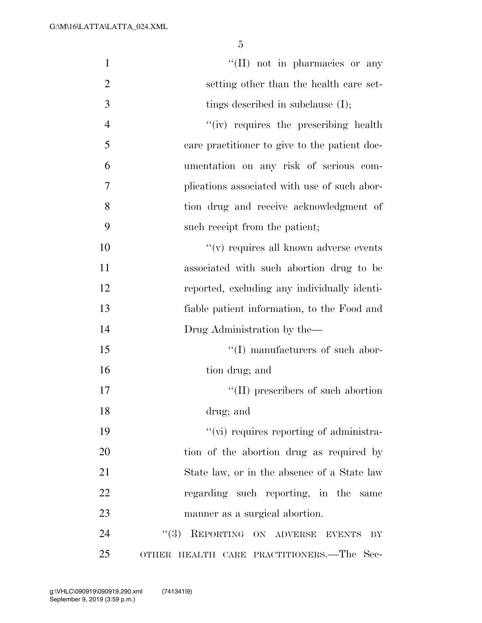| $\mathbf{1}$   | "(II) not in pharmacies or any                |
|----------------|-----------------------------------------------|
| $\overline{2}$ | setting other than the health care set-       |
| 3              | tings described in subclause $(I)$ ;          |
| $\overline{4}$ | "(iv) requires the prescribing health         |
| 5              | care practitioner to give to the patient doc- |
| 6              | umentation on any risk of serious com-        |
| 7              | plications associated with use of such abor-  |
| 8              | tion drug and receive acknowledgment of       |
| 9              | such receipt from the patient;                |
| 10             | $f'(v)$ requires all known adverse events     |
| 11             | associated with such abortion drug to be      |
| 12             | reported, excluding any individually identi-  |
| 13             | fiable patient information, to the Food and   |
| 14             | Drug Administration by the-                   |
| 15             | $\lq\lq$ (I) manufacturers of such abor-      |
| 16             | tion drug; and                                |
| 17             | $\lq\lq$ (II) prescribers of such abortion    |
| 18             | drug; and                                     |
| 19             | "(vi) requires reporting of administra-       |
| 20             | tion of the abortion drug as required by      |
| 21             | State law, or in the absence of a State law   |
| 22             | regarding such reporting, in the same         |
| 23             | manner as a surgical abortion.                |
| 24             | REPORTING ON ADVERSE<br>(3)<br>EVENTS<br>BY   |
| 25             | OTHER HEALTH CARE PRACTITIONERS.—The Sec-     |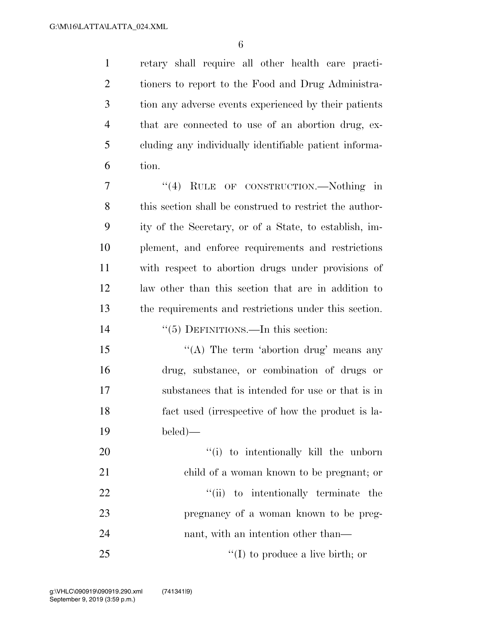retary shall require all other health care practi- tioners to report to the Food and Drug Administra- tion any adverse events experienced by their patients that are connected to use of an abortion drug, ex- cluding any individually identifiable patient informa-tion.

 ''(4) RULE OF CONSTRUCTION.—Nothing in this section shall be construed to restrict the author- ity of the Secretary, or of a State, to establish, im- plement, and enforce requirements and restrictions with respect to abortion drugs under provisions of law other than this section that are in addition to the requirements and restrictions under this section.

- ''(5) DEFINITIONS.—In this section:
- 15 "(A) The term 'abortion drug' means any drug, substance, or combination of drugs or substances that is intended for use or that is in fact used (irrespective of how the product is la-beled)—

 $\frac{1}{20}$  to intentionally kill the unborn child of a woman known to be pregnant; or  $\frac{1}{1}$  to intentionally terminate the pregnancy of a woman known to be preg-24 nant, with an intention other than— 25 ''(I) to produce a live birth; or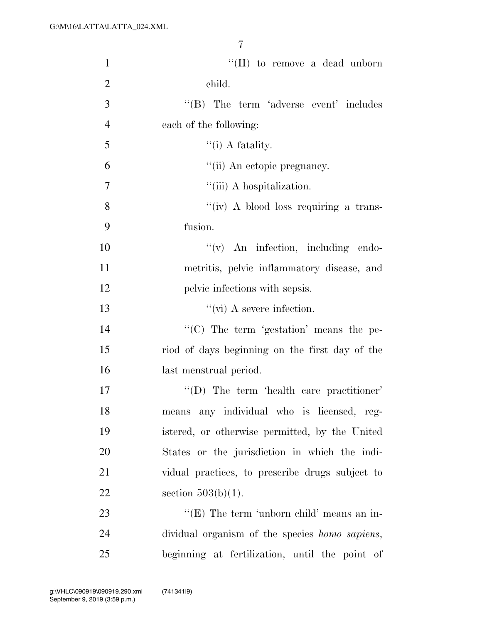| $\mathbf{1}$   | $\lq\lq$ (II) to remove a dead unborn                  |
|----------------|--------------------------------------------------------|
| $\overline{2}$ | child.                                                 |
| 3              | $\lq\lq$ The term 'adverse event' includes             |
| $\overline{4}$ | each of the following:                                 |
| 5              | $``(i)$ A fatality.                                    |
| 6              | "(ii) An ectopic pregnancy.                            |
| 7              | "(iii) A hospitalization.                              |
| 8              | "(iv) A blood loss requiring a trans-                  |
| 9              | fusion.                                                |
| 10             | $f'(v)$ An infection, including endo-                  |
| 11             | metritis, pelvic inflammatory disease, and             |
| 12             | pelvic infections with sepsis.                         |
| 13             | $\lq\lq$ (vi) A severe infection.                      |
| 14             | "(C) The term 'gestation' means the pe-                |
| 15             | riod of days beginning on the first day of the         |
| 16             | last menstrual period.                                 |
| 17             | "(D) The term 'health care practitioner'               |
| 18             | means any individual who is licensed, reg-             |
| 19             | istered, or otherwise permitted, by the United         |
| 20             | States or the jurisdiction in which the indi-          |
| 21             | vidual practices, to prescribe drugs subject to        |
| 22             | section $503(b)(1)$ .                                  |
| 23             | " $(E)$ The term 'unborn child' means an in-           |
| 24             | dividual organism of the species <i>homo sapiens</i> , |
| 25             | beginning at fertilization, until the point of         |